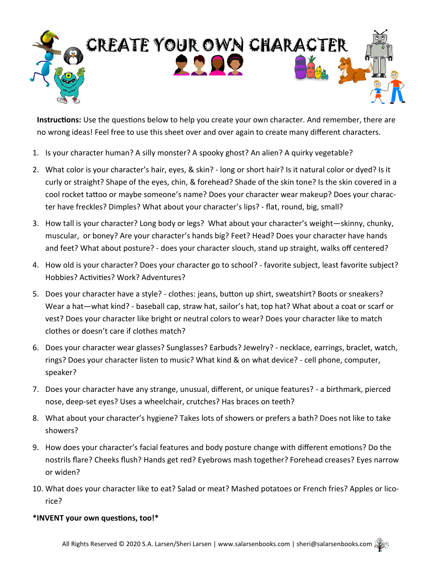

**Instructions:** Use the questions below to help you create your own character. And remember, there are no wrong ideas! Feel free to use this sheet over and over again to create many different characters.

- 1. Is your character human? A silly monster? A spooky ghost? An alien? A quirky vegetable?
- 2. What color is your character's hair, eyes, & skin? long or short hair? Is it natural color or dyed? Is it curly or straight? Shape of the eyes, chin, & forehead? Shade of the skin tone? Is the skin covered in a cool rocket tattoo or maybe someone's name? Does your character wear makeup? Does your character have freckles? Dimples? What about your character's lips? - flat, round, big, small?
- 3. How tall is your character? Long body or legs? What about your character's weight—skinny, chunky, muscular, or boney? Are your character's hands big? Feet? Head? Does your character have hands and feet? What about posture? - does your character slouch, stand up straight, walks off centered?
- 4. How old is your character? Does your character go to school? favorite subject, least favorite subject? Hobbies? Activities? Work? Adventures?
- 5. Does your character have a style? clothes: jeans, button up shirt, sweatshirt? Boots or sneakers? Wear a hat—what kind? - baseball cap, straw hat, sailor's hat, top hat? What about a coat or scarf or vest? Does your character like bright or neutral colors to wear? Does your character like to match clothes or doesn't care if clothes match?
- 6. Does your character wear glasses? Sunglasses? Earbuds? Jewelry? necklace, earrings, braclet, watch, rings? Does your character listen to music? What kind & on what device? - cell phone, computer, speaker?
- 7. Does your character have any strange, unusual, different, or unique features? a birthmark, pierced nose, deep-set eyes? Uses a wheelchair, crutches? Has braces on teeth?
- 8. What about your character's hygiene? Takes lots of showers or prefers a bath? Does not like to take showers?
- 9. How does your character's facial features and body posture change with different emotions? Do the nostrils flare? Cheeks flush? Hands get red? Eyebrows mash together? Forehead creases? Eyes narrow or widen?
- 10. What does your character like to eat? Salad or meat? Mashed potatoes or French fries? Apples or licorice?

## **\*INVENT your own questions, too!\***